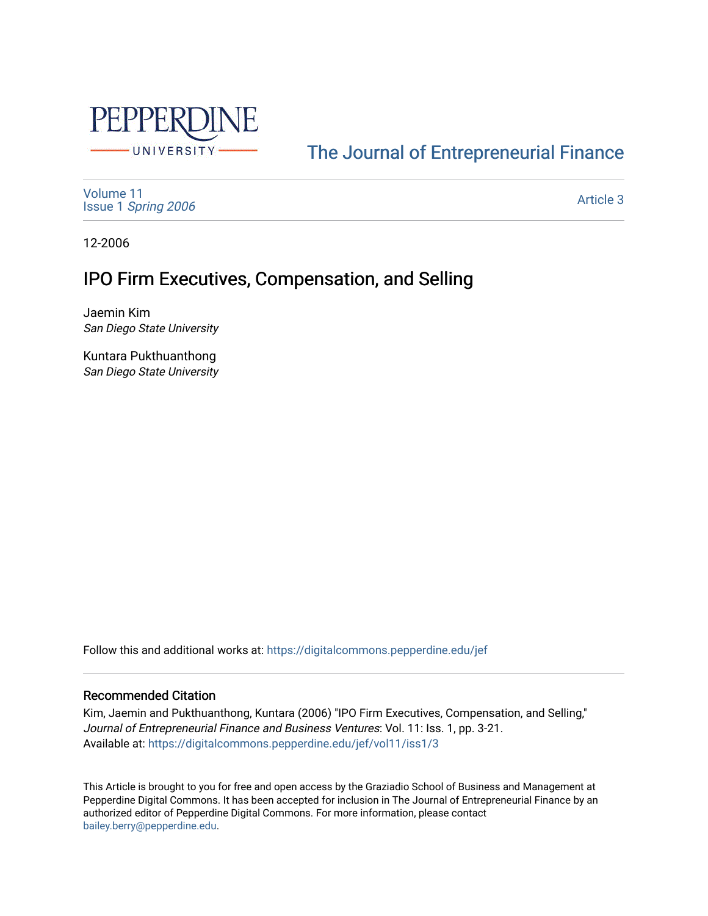

### [The Journal of Entrepreneurial Finance](https://digitalcommons.pepperdine.edu/jef)

[Volume 11](https://digitalcommons.pepperdine.edu/jef/vol11) Issue 1 [Spring 2006](https://digitalcommons.pepperdine.edu/jef/vol11/iss1) 

[Article 3](https://digitalcommons.pepperdine.edu/jef/vol11/iss1/3) 

12-2006

### IPO Firm Executives, Compensation, and Selling

Jaemin Kim San Diego State University

Kuntara Pukthuanthong San Diego State University

Follow this and additional works at: [https://digitalcommons.pepperdine.edu/jef](https://digitalcommons.pepperdine.edu/jef?utm_source=digitalcommons.pepperdine.edu%2Fjef%2Fvol11%2Fiss1%2F3&utm_medium=PDF&utm_campaign=PDFCoverPages) 

#### Recommended Citation

Kim, Jaemin and Pukthuanthong, Kuntara (2006) "IPO Firm Executives, Compensation, and Selling," Journal of Entrepreneurial Finance and Business Ventures: Vol. 11: Iss. 1, pp. 3-21. Available at: [https://digitalcommons.pepperdine.edu/jef/vol11/iss1/3](https://digitalcommons.pepperdine.edu/jef/vol11/iss1/3?utm_source=digitalcommons.pepperdine.edu%2Fjef%2Fvol11%2Fiss1%2F3&utm_medium=PDF&utm_campaign=PDFCoverPages) 

This Article is brought to you for free and open access by the Graziadio School of Business and Management at Pepperdine Digital Commons. It has been accepted for inclusion in The Journal of Entrepreneurial Finance by an authorized editor of Pepperdine Digital Commons. For more information, please contact [bailey.berry@pepperdine.edu](mailto:bailey.berry@pepperdine.edu).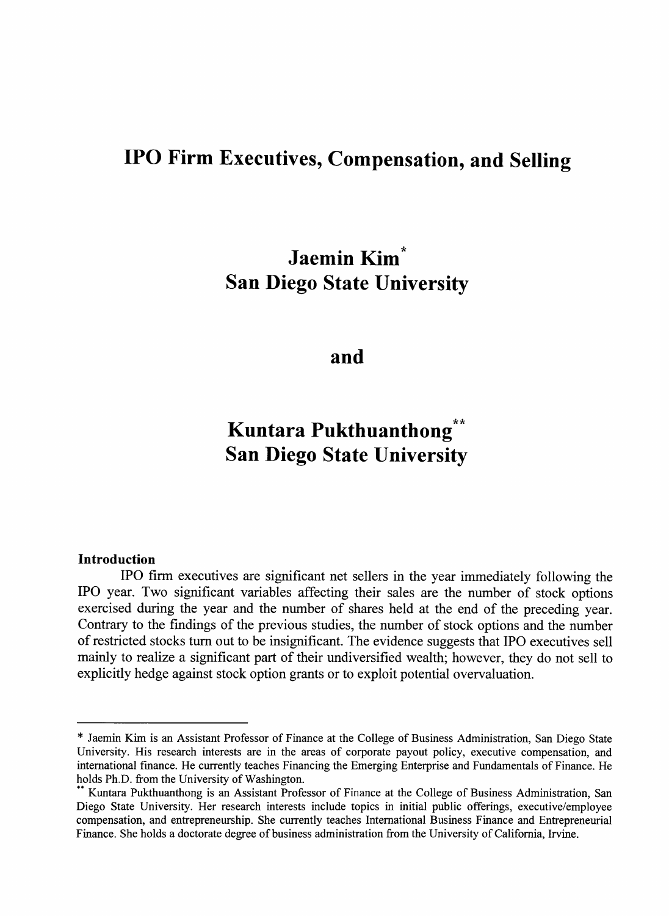## **IPO Firm Executives, Compensation, and Selling**

## **Jaemin Kim San Diego State University**

#### **and**

## **Kuntara Pukthuanthong San Diego State University**

#### **Introduction**

IPO firm executives are significant net sellers in the year immediately following the IPO year. Two significant variables affecting their sales are the number of stock options exercised during the year and the number of shares held at the end of the preceding year. Contrary to the findings of the previous studies, the number of stock options and the number of restricted stocks turn out to be insignificant. The evidence suggests that IPO executives sell mainly to realize a significant part of their undiversified wealth; however, they do not sell to explicitly hedge against stock option grants or to exploit potential overvaluation.

<sup>\*</sup> Jaemin Kim is an Assistant Professor of Finance at the College of Business Administration, San Diego State University. His research interests are in the areas of corporate payout policy, executive compensation, and international finance. He currently teaches Financing the Emerging Enterprise and Fundamentals of Finance. He holds Ph.D. from the University of Washington.

Kuntara Pukthuanthong is an Assistant Professor of Finance at the College of Business Administration, San **Diego State University. Her research interests include topics in initial public offerings, executive/employee compensation, and entrepreneurship. She currently teaches International Business Finance and Entrepreneurial** Finance. She holds a doctorate degree of business administration from the University of California, Irvine.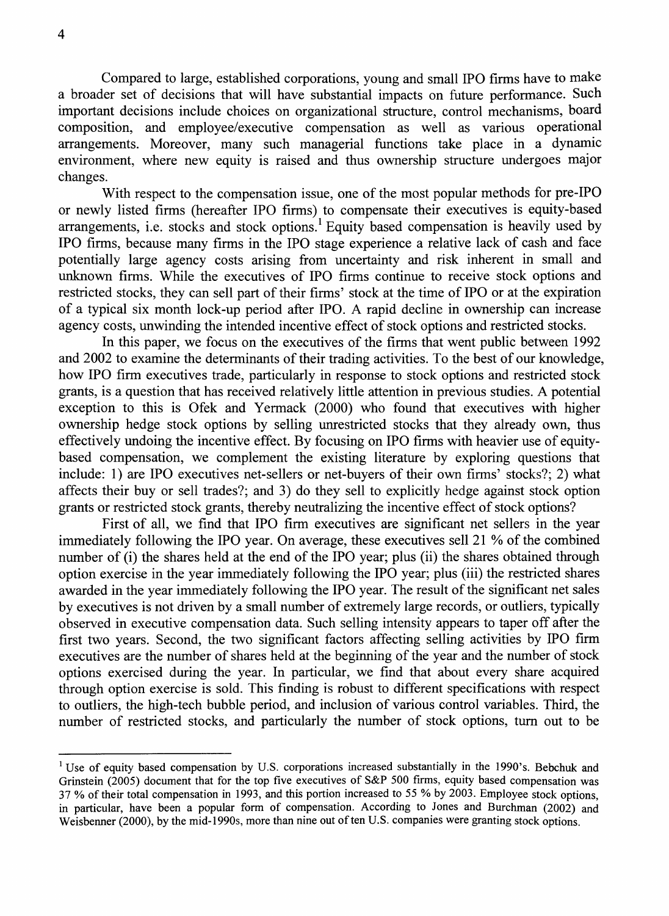Compared to large, established corporations, young and small IPO firms have to make a broader set of decisions that will have substantial impacts on future performance. Such important decisions include choices on organizational structure, control mechanisms, board composition, and employee/executive compensation as well as various operational arrangements. Moreover, many such managerial functions take place in a dynamic environment, where new equity is raised and thus ownership structure undergoes major changes.

With respect to the compensation issue, one of the most popular methods for pre-IPO or newly listed firms (hereafter IPO firms) to compensate their executives is equity-based arrangements, i.e. stocks and stock options.<sup>1</sup> Equity based compensation is heavily used by IPO firms, because many firms in the IPO stage experience a relative lack of cash and face potentially large agency costs arising from uncertainty and risk inherent in small and unknown firms. While the executives of IPO firms continue to receive stock options and restricted stocks, they can sell part of their firms' stock at the time of IPO or at the expiration of a typical six month lock-up period after IPO. A rapid decline in ownership can increase agency costs, unwinding the intended incentive effect of stock options and restricted stocks.

In this paper, we focus on the executives of the firms that went public between 1992 and 2002 to examine the determinants of their trading activities. To the best of our knowledge, how IPO firm executives trade, particularly in response to stock options and restricted stock grants, is a question that has received relatively little attention in previous studies. A potential exception to this is Ofek and Yermack (2000) who found that executives with higher ownership hedge stock options by selling unrestricted stocks that they already own, thus effectively undoing the incentive effect. By focusing on IPO firms with heavier use of equitybased compensation, we complement the existing literature by exploring questions that include: 1) are IPO executives net-sellers or net-buyers of their own firms' stocks?; 2) what affects their buy or sell trades?; and 3) do they sell to explicitly hedge against stock option grants or restricted stock grants, thereby neutralizing the incentive effect of stock options?

First of all, we find that IPO firm executives are significant net sellers in the year immediately following the IPO year. On average, these executives sell 21 % of the combined number of (i) the shares held at the end of the IPO year; plus (ii) the shares obtained through option exercise in the year immediately following the IPO year; plus (iii) the restricted shares awarded in the year immediately following the IPO year. The result of the significant net sales by executives is not driven by a small number of extremely large records, or outliers, typically observed in executive compensation data. Such selling intensity appears to taper off after the first two years. Second, the two significant factors affecting selling activities by IPO firm executives are the number of shares held at the beginning of the year and the number of stock options exercised during the year. In particular, we find that about every share acquired through option exercise is sold. This finding is robust to different specifications with respect to outliers, the high-tech bubble period, and inclusion of various control variables. Third, the number of restricted stocks, and particularly the number of stock options, turn out to be

<sup>&</sup>lt;sup>1</sup> Use of equity based compensation by U.S. corporations increased substantially in the 1990's. Bebchuk and Grinstein (2005) document that for the top five executives of S&P 500 firms, equity based compensation was **37 % o f their total compensation in 1993, and this portion increased to 55 % by 2003. Employee stock options,** in particular, have been a popular form of compensation. According to Jones and Burchman (2002) and Weisbenner (2000), by the mid-1990s, more than nine out of ten U.S. companies were granting stock options.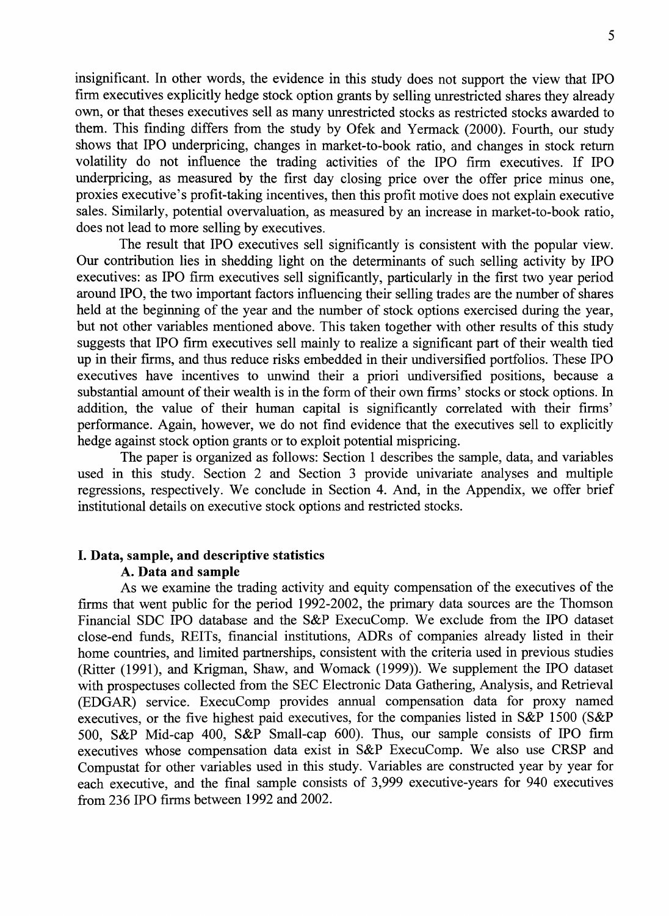insignificant. In other words, the evidence in this study does not support the view that IPO firm executives explicitly hedge stock option grants by selling unrestricted shares they already own, or that theses executives sell as many unrestricted stocks as restricted stocks awarded to them. This finding differs from the study by Ofek and Yermack (2000). Fourth, our study shows that IPO underpricing, changes in market-to-book ratio, and changes in stock return volatility do not influence the trading activities of the IPO firm executives. If IPO underpricing, as measured by the first day closing price over the offer price minus one, proxies executive's profit-taking incentives, then this profit motive does not explain executive sales. Similarly, potential overvaluation, as measured by an increase in market-to-book ratio, does not lead to more selling by executives.

The result that IPO executives sell significantly is consistent with the popular view. Our contribution lies in shedding light on the determinants of such selling activity by IPO executives: as IPO firm executives sell significantly, particularly in the first two year period around IPO, the two important factors influencing their selling trades are the number of shares held at the beginning of the year and the number of stock options exercised during the year, but not other variables mentioned above. This taken together with other results of this study suggests that IPO firm executives sell mainly to realize a significant part of their wealth tied up in their firms, and thus reduce risks embedded in their undiversified portfolios. These IPO executives have incentives to unwind their a priori undiversified positions, because a substantial amount of their wealth is in the form of their own firms' stocks or stock options. In addition, the value of their human capital is significantly correlated with their firms' performance. Again, however, we do not find evidence that the executives sell to explicitly hedge against stock option grants or to exploit potential mispricing.

The paper is organized as follows: Section 1 describes the sample, data, and variables used in this study. Section 2 and Section 3 provide univariate analyses and multiple regressions, respectively. We conclude in Section 4. And, in the Appendix, we offer brief institutional details on executive stock options and restricted stocks.

#### **I. Data, sample, and descriptive statistics** A. **Data and sample**

As we examine the trading activity and equity compensation of the executives of the firms that went public for the period 1992-2002, the primary data sources are the Thomson Financial SDC IPO database and the S&P ExecuComp. We exclude from the IPO dataset close-end funds, REITs, financial institutions, ADRs of companies already listed in their home countries, and limited partnerships, consistent with the criteria used in previous studies (Ritter (1991), and Krigman, Shaw, and Womack (1999)). We supplement the IPO dataset with prospectuses collected from the SEC Electronic Data Gathering, Analysis, and Retrieval (EDGAR) service. ExecuComp provides annual compensation data for proxy named executives, or the five highest paid executives, for the companies listed in S&P 1500 (S&P 500, S&P Mid-cap 400, S&P Small-cap 600). Thus, our sample consists of IPO firm executives whose compensation data exist in S&P ExecuComp. We also use CRSP and Compustat for other variables used in this study. Variables are constructed year by year for each executive, and the final sample consists of 3,999 executive-years for 940 executives from 236 IPO firms between 1992 and 2002.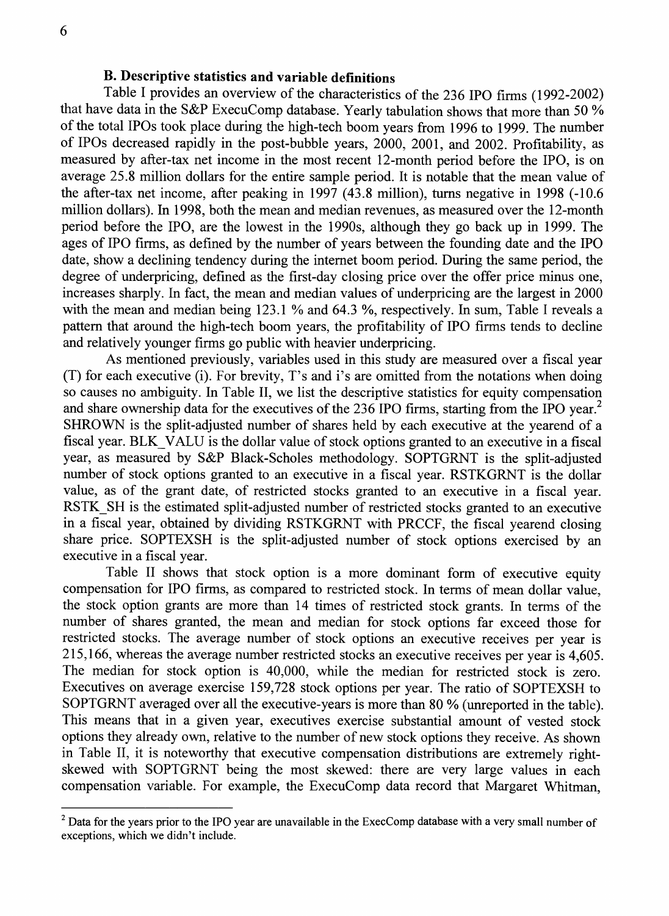#### **B. Descriptive statistics and variable definitions**

Table I provides an overview of the characteristics of the 236 IPO firms (1992-2002) that have data in the S&P ExecuComp database. Yearly tabulation shows that more than 50 % of the total IPOs took place during the high-tech boom years from 1996 to 1999. The number of IPOs decreased rapidly in the post-bubble years, 2000, 2001, and 2002. Profitability, as measured by after-tax net income in the most recent 12-month period before the IPO, is on average 25.8 million dollars for the entire sample period. It is notable that the mean value of the after-tax net income, after peaking in 1997 (43.8 million), turns negative in 1998 (-10.6 million dollars). In 1998, both the mean and median revenues, as measured over the 12-month period before the IPO, are the lowest in the 1990s, although they go back up in 1999. The ages of IPO firms, as defined by the number of years between the founding date and the IPO date, show a declining tendency during the internet boom period. During the same period, the degree of underpricing, defined as the first-day closing price over the offer price minus one, increases sharply. In fact, the mean and median values of underpricing are the largest in 2000 with the mean and median being 123.1 % and 64.3 %, respectively. In sum, Table I reveals a pattern that around the high-tech boom years, the profitability of IPO firms tends to decline and relatively younger firms go public with heavier underpricing.

As mentioned previously, variables used in this study are measured over a fiscal year (T) for each executive (i). For brevity, T's and i's are omitted from the notations when doing so causes no ambiguity. In Table II, we list the descriptive statistics for equity compensation and share ownership data for the executives of the 236 IPO firms, starting from the IPO year. $<sup>2</sup>$ </sup> SHROWN is the split-adjusted number of shares held by each executive at the yearend of a fiscal year. BLK VALU is the dollar value of stock options granted to an executive in a fiscal year, as measured by S&P Black-Scholes methodology. SOPTGRNT is the split-adjusted number of stock options granted to an executive in a fiscal year. RSTKGRNT is the dollar value, as of the grant date, of restricted stocks granted to an executive in a fiscal year. RSTK\_SH is the estimated split-adjusted number of restricted stocks granted to an executive in a fiscal year, obtained by dividing RSTKGRNT with PRCCF, the fiscal yearend closing share price. SOPTEXSH is the split-adjusted number of stock options exercised by an executive in a fiscal year.

Table II shows that stock option is a more dominant form of executive equity compensation for IPO firms, as compared to restricted stock. In terms of mean dollar value, the stock option grants are more than 14 times of restricted stock grants. In terms of the number of shares granted, the mean and median for stock options far exceed those for restricted stocks. The average number of stock options an executive receives per year is 215,166, whereas the average number restricted stocks an executive receives per year is 4,605. The median for stock option is 40,000, while the median for restricted stock is zero. Executives on average exercise 159,728 stock options per year. The ratio of SOPTEXSH to SOPTGRNT averaged over all the executive-years is more than 80 % (unreported in the table). This means that in a given year, executives exercise substantial amount of vested stock options they already own, relative to the number of new stock options they receive. As shown in Table II, it is noteworthy that executive compensation distributions are extremely rightskewed with SOPTGRNT being the most skewed: there are very large values in each compensation variable. For example, the ExecuComp data record that Margaret Whitman,

<sup>&</sup>lt;sup>2</sup> Data for the years prior to the IPO year are unavailable in the ExecComp database with a very small number of **exceptions, which we didn't include.**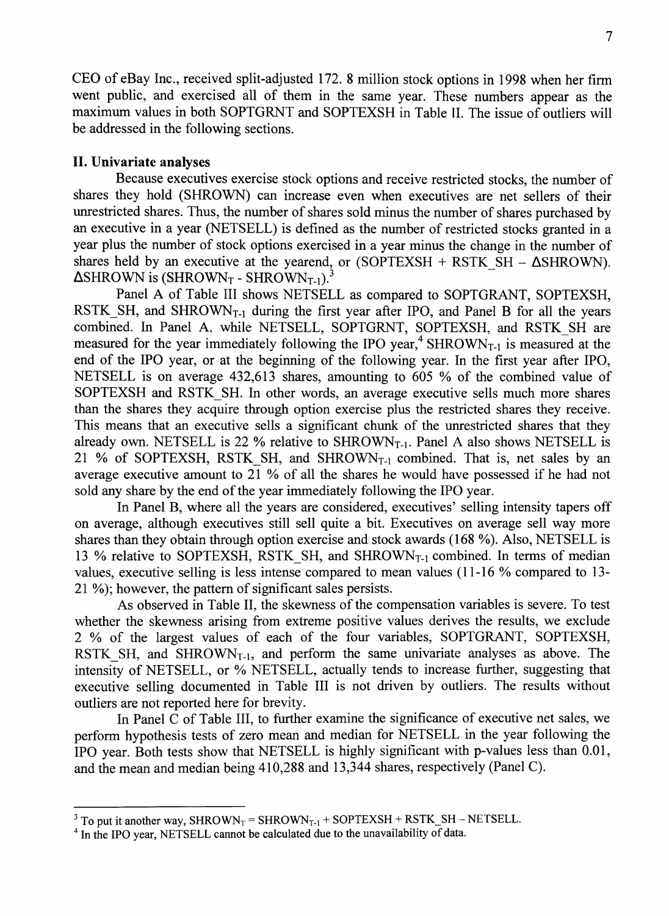CEO of eBay Inc., received split-adjusted 172, 8 million stock options in 1998 when her firm went public, and exercised all of them in the same year. These numbers appear as the maximum values in both SOPTGRNT and SOPTEXSH in Table II. The issue of outliers will be addressed in the following sections.

#### **II. Univariate analyses**

Because executives exercise stock options and receive restricted stocks, the number of shares they hold (SHROWN) can increase even when executives are net sellers of their unrestricted shares. Thus, the number of shares sold minus the number of shares purchased by an executive in a year (NETSELL) is defined as the number of restricted stocks granted in a year plus the number of stock options exercised in a year minus the change in the number of shares held by an executive at the yearend, or  $(SOPTEXSH + RSTK SH - \Delta SHROWN)$ .  $\Delta$ SHROWN is (SHROWN<sub>T</sub> - SHROWN<sub>T-1</sub>).<sup>3</sup>

Panel A of Table III shows NETSELL as compared to SOPTGRANT, SOPTEXSH, RSTK SH, and SHROWN<sub>T-1</sub> during the first year after IPO, and Panel B for all the years combined. In Panel A, while NETSELL, SOPTGRNT, SOPTEXSH, and RSTK\_SH are measured for the year immediately following the IPO year,<sup>4</sup> SHROWN<sub>T-1</sub> is measured at the end of the IPO year, or at the beginning of the following year. In the first year after IPO, NETSELL is on average 432,613 shares, amounting to 605 % of the combined value of SOPTEXSH and RSTK SH. In other words, an average executive sells much more shares than the shares they acquire through option exercise plus the restricted shares they receive. This means that an executive sells a significant chunk of the unrestricted shares that they already own. NETSELL is 22 % relative to  $SHROWN<sub>T-1</sub>$ . Panel A also shows NETSELL is 21 % of SOPTEXSH, RSTK SH, and SHROWN<sub>T-1</sub> combined. That is, net sales by an average executive amount to 21 % of all the shares he would have possessed if he had not sold any share by the end of the year immediately following the IPO year.

In Panel B, where all the years are considered, executives' selling intensity tapers off on average, although executives still sell quite a bit. Executives on average sell way more shares than they obtain through option exercise and stock awards (168 %). Also, NETSELL is 13 % relative to SOPTEXSH, RSTK SH, and SHROWN<sub>T-1</sub> combined. In terms of median values, executive selling is less intense compared to mean values (11-16 % compared to 13- 21 %); however, the pattern of significant sales persists.

As observed in Table II, the skewness of the compensation variables is severe. To test whether the skewness arising from extreme positive values derives the results, we exclude 2 % of the largest values of each of the four variables, SOPTGRANT, SOPTEXSH, RSTK SH, and SHROWN<sub>T-1</sub>, and perform the same univariate analyses as above. The intensity of NETSELL, or % NETSELL, actually tends to increase further, suggesting that executive selling documented in Table III is not driven by outliers. The results without outliers are not reported here for brevity.

In Panel C of Table III, to further examine the significance of executive net sales, we perform hypothesis tests of zero mean and median for NETSELL in the year following the IPO year. Both tests show that NETSELL is highly significant with p-values less than 0.01, and the mean and median being 410,288 and 13,344 shares, respectively (Panel C).

<sup>&</sup>lt;sup>3</sup> To put it another way, SHROWN<sub>T</sub> = SHROWN<sub>T-1</sub> + SOPTEXSH + RSTK\_SH – NETSELL.

<sup>&</sup>lt;sup>4</sup> In the IPO year, NETSELL cannot be calculated due to the unavailability of data.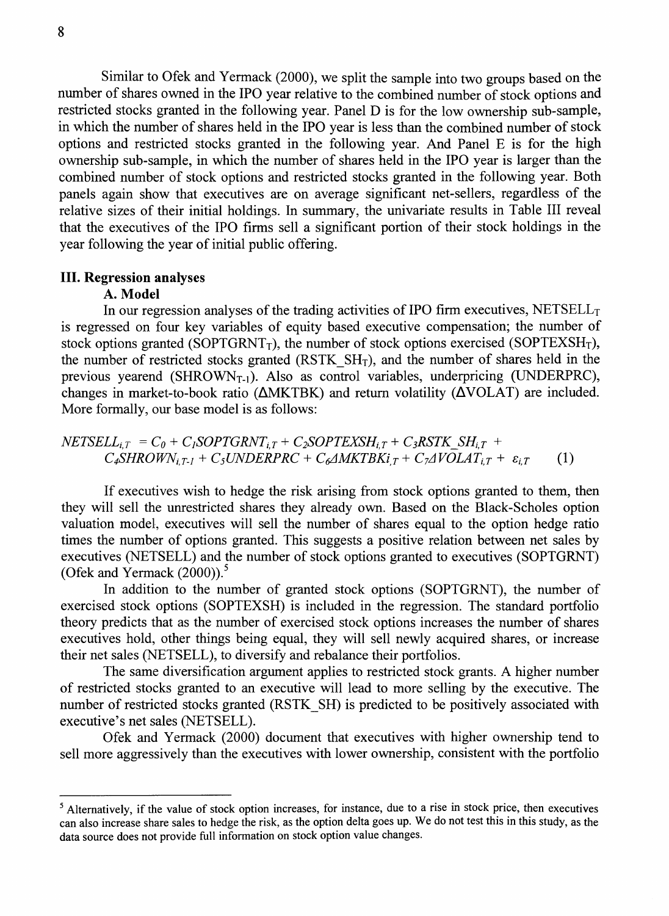Similar to Ofek and Yermack (2000), we split the sample into two groups based on the number of shares owned in the IPO year relative to the combined number of stock options and restricted stocks granted in the following year. Panel D is for the low ownership sub-sample, in which the number of shares held in the IPO year is less than the combined number of stock options and restricted stocks granted in the following year. And Panel E is for the high ownership sub-sample, in which the number of shares held in the IPO year is larger than the combined number of stock options and restricted stocks granted in the following year. Both panels again show that executives are on average significant net-sellers, regardless of the relative sizes of their initial holdings. In summary, the univariate results in Table III reveal that the executives of the IPO firms sell a significant portion of their stock holdings in the year following the year of initial public offering.

#### **III. Regression analyses**

#### A. **Model**

In our regression analyses of the trading activities of IPO firm executives,  $NETSELL<sub>T</sub>$ is regressed on four key variables of equity based executive compensation; the number of stock options granted (SOPTGRNT<sub>T</sub>), the number of stock options exercised (SOPTEXSH<sub>T</sub>), the number of restricted stocks granted (RSTK  $SH<sub>T</sub>$ ), and the number of shares held in the previous yearend (SHROWN<sub>T-1</sub>). Also as control variables, underpricing (UNDERPRC), changes in market-to-book ratio ( $\triangle$ MKTBK) and return volatility ( $\triangle$ VOLAT) are included. More formally, our base model is as follows:

$$
NETSELL_{i,T} = C_0 + C_I SOPTGRNT_{i,T} + C_2 SOPTEXSH_{i,T} + C_3RSTK_SH_{i,T} + C_4SHROMN_{i,T-1} + C_5UNDERPRC + C_4MKTBKi_{i,T} + C_7AVOLAT_{i,T} + \varepsilon_{i,T}
$$
 (1)

If executives wish to hedge the risk arising from stock options granted to them, then they will sell the unrestricted shares they already own. Based on the Black-Scholes option valuation model, executives will sell the number of shares equal to the option hedge ratio times the number of options granted. This suggests a positive relation between net sales by executives (NETSELL) and the number of stock options granted to executives (SOPTGRNT) (Ofek and Yermack  $(2000)$ ).<sup>5</sup>

In addition to the number of granted stock options (SOPTGRNT), the number of exercised stock options (SOPTEXSH) is included in the regression. The standard portfolio theory predicts that as the number of exercised stock options increases the number of shares executives hold, other things being equal, they will sell newly acquired shares, or increase their net sales (NETSELL), to diversify and rebalance their portfolios.

The same diversification argument applies to restricted stock grants. A higher number of restricted stocks granted to an executive will lead to more selling by the executive. The number of restricted stocks granted (RSTK SH) is predicted to be positively associated with executive's net sales (NETSELL).

Ofek and Yermack (2000) document that executives with higher ownership tend to sell more aggressively than the executives with lower ownership, consistent with the portfolio

<sup>&</sup>lt;sup>5</sup> Alternatively, if the value of stock option increases, for instance, due to a rise in stock price, then executives **can also increase share sales to hedge the risk, as the option delta goes up. We do not test this in this study, as the data source does not provide full information on stock option value changes.**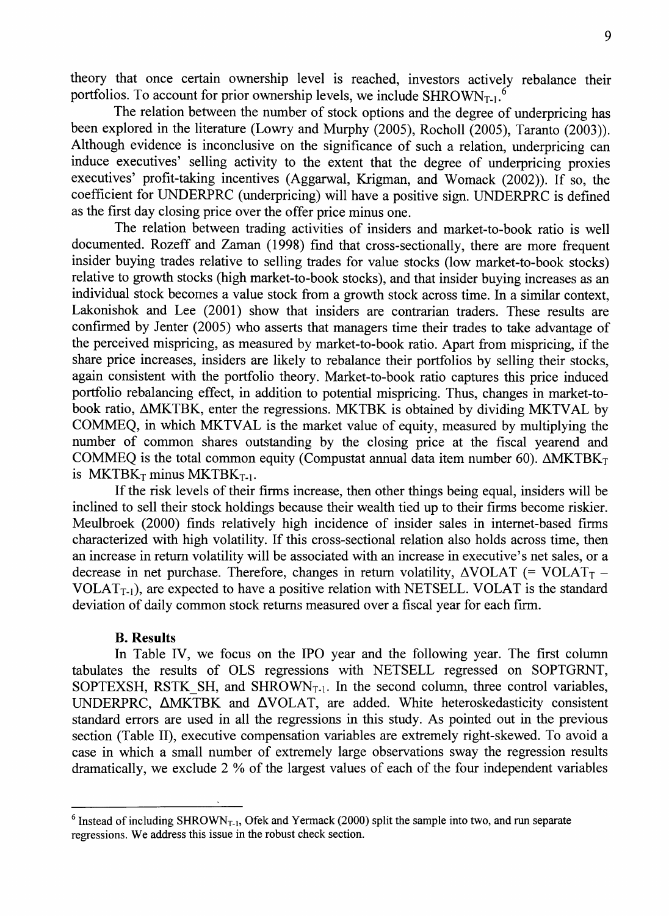theory that once certain ownership level is reached, investors actively rebalance their portfolios. To account for prior ownership levels, we include  $SHROWN_{T-1}$ .

The relation between the number of stock options and the degree of underpricing has been explored in the literature (Lowry and Murphy (2005), Rocholl (2005), Taranto (2003)). Although evidence is inconclusive on the significance of such a relation, underpricing can induce executives' selling activity to the extent that the degree of underpricing proxies executives' profit-taking incentives (Aggarwal, Krigman, and Womack (2002)). If so, the coefficient for UNDERPRC (underpricing) will have a positive sign. UNDERPRC is defined as the first day closing price over the offer price minus one.

The relation between trading activities of insiders and market-to-book ratio is well documented. Rozeff and Zaman (1998) find that cross-sectionally, there are more frequent insider buying trades relative to selling trades for value stocks (low market-to-book stocks) relative to growth stocks (high market-to-book stocks), and that insider buying increases as an individual stock becomes a value stock from a growth stock across time. In a similar context, Lakonishok and Lee (2001) show that insiders are contrarian traders. These results are confirmed by Jenter (2005) who asserts that managers time their trades to take advantage of the perceived mispricing, as measured by market-to-book ratio. Apart from mispricing, if the share price increases, insiders are likely to rebalance their portfolios by selling their stocks, again consistent with the portfolio theory. Market-to-book ratio captures this price induced portfolio rebalancing effect, in addition to potential mispricing. Thus, changes in market-tobook ratio, AMKTBK, enter the regressions. MKTBK is obtained by dividing MKTVAL by COMMEQ, in which MKTVAL is the market value of equity, measured by multiplying the number of common shares outstanding by the closing price at the fiscal yearend and COMMEQ is the total common equity (Compustat annual data item number 60).  $\triangle$ MKTBK<sub>T</sub> is MKTBK $_T$  minus MKTBK $_{T-1}$ .

If the risk levels of their firms increase, then other things being equal, insiders will be inclined to sell their stock holdings because their wealth tied up to their firms become riskier. Meulbroek (2000) finds relatively high incidence of insider sales in internet-based firms characterized with high volatility. If this cross-sectional relation also holds across time, then an increase in return volatility will be associated with an increase in executive's net sales, or a decrease in net purchase. Therefore, changes in return volatility,  $\triangle VOLAT$  (= VOLAT<sub>T</sub> -VOLAT<sub>T-1</sub>), are expected to have a positive relation with NETSELL. VOLAT is the standard deviation of daily common stock returns measured over a fiscal year for each firm.

#### **B. Results**

In Table IV, we focus on the IPO year and the following year. The first column tabulates the results of OLS regressions with NETSELL regressed on SOPTGRNT, SOPTEXSH, RSTK SH, and SHROWN<sub>T-1</sub>. In the second column, three control variables, UNDERPRC,  $\triangle$ MKTBK and  $\triangle$ VOLAT, are added. White heteroskedasticity consistent standard errors are used in all the regressions in this study. As pointed out in the previous section (Table II), executive compensation variables are extremely right-skewed. To avoid a case in which a small number of extremely large observations sway the regression results dramatically, we exclude 2 % of the largest values of each of the four independent variables

<sup>&</sup>lt;sup>6</sup> Instead of including SHROWN<sub>T-1</sub>, Ofek and Yermack (2000) split the sample into two, and run separate **regressions. We address this issue in the robust check section.**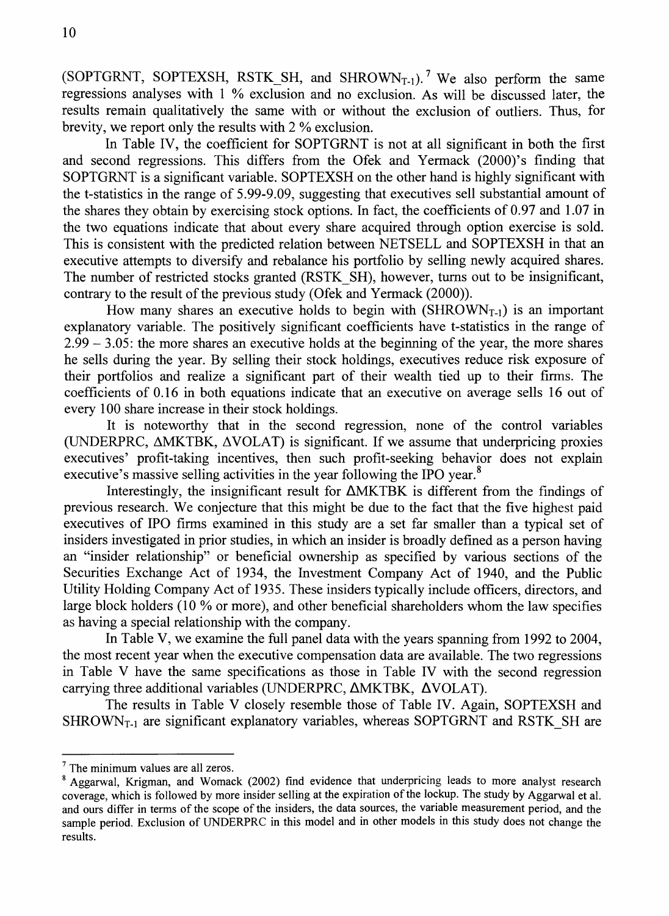(SOPTGRNT, SOPTEXSH, RSTK SH, and SHROWN<sub>T-1</sub>).<sup>7</sup> We also perform the same regressions analyses with 1 % exclusion and no exclusion. As will be discussed later, the results remain qualitatively the same with or without the exclusion of outliers. Thus, for brevity, we report only the results with 2 % exclusion.

In Table IV, the coefficient for SOPTGRNT is not at all significant in both the first and second regressions. This differs from the Ofek and Yermack (2000)'s finding that SOPTGRNT is a significant variable. SOPTEXSH on the other hand is highly significant with the t-statistics in the range of 5.99-9.09, suggesting that executives sell substantial amount of the shares they obtain by exercising stock options. In fact, the coefficients of 0.97 and 1.07 in the two equations indicate that about every share acquired through option exercise is sold. This is consistent with the predicted relation between NETSELL and SOPTEXSH in that an executive attempts to diversify and rebalance his portfolio by selling newly acquired shares. The number of restricted stocks granted (RSTK SH), however, turns out to be insignificant, contrary to the result of the previous study (Ofek and Yermack (2000)).

How many shares an executive holds to begin with  $(SHROWN<sub>T-1</sub>)$  is an important explanatory variable. The positively significant coefficients have t-statistics in the range of 2.99 - 3.05: the more shares an executive holds at the beginning of the year, the more shares he sells during the year. By selling their stock holdings, executives reduce risk exposure of their portfolios and realize a significant part of their wealth tied up to their firms. The coefficients of 0.16 in both equations indicate that an executive on average sells 16 out of every 100 share increase in their stock holdings.

It is noteworthy that in the second regression, none of the control variables (UNDERPRC, AMKTBK, AVOLAT) is significant. If we assume that underpricing proxies executives' profit-taking incentives, then such profit-seeking behavior does not explain executive's massive selling activities in the year following the IPO year. $^8$ 

Interestingly, the insignificant result for  $\Delta$ MKTBK is different from the findings of previous research. We conjecture that this might be due to the fact that the five highest paid executives of IPO firms examined in this study are a set far smaller than a typical set of insiders investigated in prior studies, in which an insider is broadly defined as a person having an "insider relationship" or beneficial ownership as specified by various sections of the Securities Exchange Act of 1934, the Investment Company Act of 1940, and the Public Utility Holding Company Act of 1935. These insiders typically include officers, directors, and large block holders (10 % or more), and other beneficial shareholders whom the law specifies as having a special relationship with the company.

In Table V, we examine the full panel data with the years spanning from 1992 to 2004, the most recent year when the executive compensation data are available. The two regressions in Table V have the same specifications as those in Table IV with the second regression carrying three additional variables (UNDERPRC, AMKTBK, AVOLAT).

The results in Table V closely resemble those of Table IV. Again, SOPTEXSH and  $SHROWN<sub>T-1</sub>$  are significant explanatory variables, whereas SOPTGRNT and RSTK SH are

**<sup>^</sup> The minimum values are all zeros.**

**<sup>\*</sup> Aggarwal, Krigman, and Womack (2002) find evidence that underpricing leads to more analyst research** coverage, which is followed by more insider selling at the expiration of the lockup. The study by Aggarwal et al. and ours differ in terms of the scope of the insiders, the data sources, the variable measurement period, and the sample period. Exclusion of UNDERPRC in this model and in other models in this study does not change the **results.**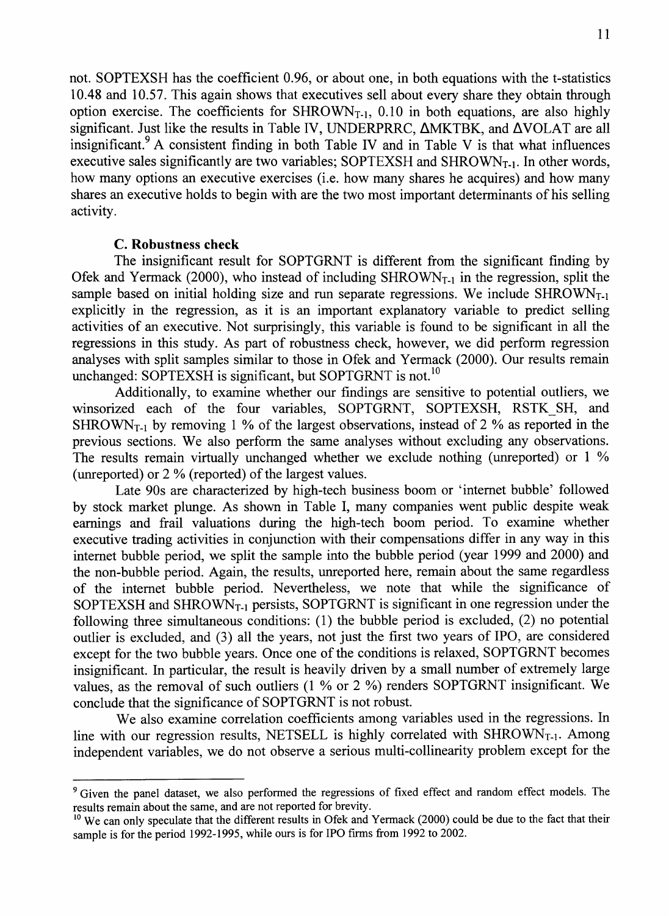not. SOPTEXSH has the coefficient 0.96, or about one, in both equations with the t-statistics 10.48 and 10.57. This again shows that executives sell about every share they obtain through option exercise. The coefficients for  $SHROWN<sub>T-1</sub>$ , 0.10 in both equations, are also highly significant. Just like the results in Table IV, UNDERPRRC, AMKTBK, and AVOLAT are all insignificant.<sup>9</sup> A consistent finding in both Table IV and in Table V is that what influences executive sales significantly are two variables; SOPTEXSH and SHROWN<sub>T-1</sub>. In other words, how many options an executive exercises (i.e. how many shares he acquires) and how many shares an executive holds to begin with are the two most important determinants of his selling activity.

#### **C. Robustness check**

The insignificant result for SOPTGRNT is different from the significant finding by Ofek and Yermack (2000), who instead of including  $SHROWN<sub>T-1</sub>$  in the regression, split the sample based on initial holding size and run separate regressions. We include  $SHROWN<sub>T-1</sub>$ explicitly in the regression, as it is an important explanatory variable to predict selling activities of an executive. Not surprisingly, this variable is found to be significant in all the regressions in this study. As part of robustness check, however, we did perform regression analyses with split samples similar to those in Ofek and Yermack (2000). Our results remain unchanged: SOPTEXSH is significant, but SOPTGRNT is not.<sup>10</sup>

Additionally, to examine whether our findings are sensitive to potential outliers, we winsorized each of the four variables, SOPTGRNT, SOPTEXSH, RSTK\_SH, and SHROWN<sub>T-1</sub> by removing 1 % of the largest observations, instead of 2 % as reported in the previous sections. We also perform the same analyses without excluding any observations. The results remain virtually unchanged whether we exclude nothing (unreported) or 1 % (unreported) or 2 % (reported) of the largest values.

Late 90s are characterized by high-tech business boom or 'internet bubble' followed by stock market plunge. As shown in Table I, many companies went public despite weak earnings and frail valuations during the high-tech boom period. To examine whether executive trading activities in conjunction with their compensations differ in any way in this internet bubble period, we split the sample into the bubble period (year 1999 and 2000) and the non-bubble period. Again, the results, unreported here, remain about the same regardless of the internet bubble period. Nevertheless, we note that while the significance of SOPTEXSH and SHROWN<sub>T-1</sub> persists, SOPTGRNT is significant in one regression under the following three simultaneous conditions: (1) the bubble period is excluded, (2) no potential outlier is excluded, and (3) all the years, not just the first two years of IPO, are considered except for the two bubble years. Once one of the conditions is relaxed, SOPTGRNT becomes insignificant. In particular, the result is heavily driven by a small number of extremely large values, as the removal of such outliers (1 % or 2 %) renders SOPTGRNT insignificant. We conclude that the significance of SOPTGRNT is not robust.

We also examine correlation coefficients among variables used in the regressions. In line with our regression results, NETSELL is highly correlated with  $SHROWN<sub>T-1</sub>$ . Among independent variables, we do not observe a serious multi-collinearity problem except for the

<sup>&</sup>lt;sup>9</sup> Given the panel dataset, we also performed the regressions of fixed effect and random effect models. The **results remain about the same, and are not reported for brevity.**

<sup>&</sup>lt;sup>10</sup> We can only speculate that the different results in Ofek and Yermack (2000) could be due to the fact that their **sample is for the period 1992-1995, while ours is for IPO firms from 1992 to 2002.**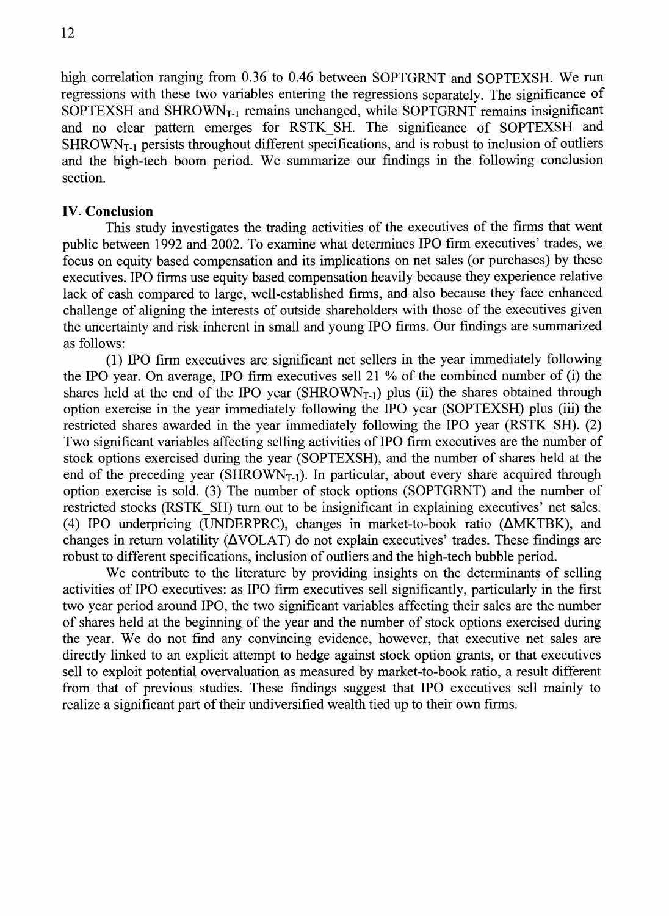high correlation ranging from 0.36 to 0.46 between SOPTGRNT and SOPTEXSH. We run regressions with these two variables entering the regressions separately. The significance of SOPTEXSH and SHROWN<sub>T-1</sub> remains unchanged, while SOPTGRNT remains insignificant and no clear pattern emerges for RSTK SH. The significance of SOPTEXSH and  $SHROWN<sub>T-1</sub>$  persists throughout different specifications, and is robust to inclusion of outliers and the high-tech boom period. We summarize our findings in the following conclusion section.

#### **IV- Conclusion**

This study investigates the trading activities of the executives of the firms that went public between 1992 and 2002. To examine what determines IPO firm executives' trades, we focus on equity based compensation and its implications on net sales (or purchases) by these executives. IPO firms use equity based compensation heavily because they experience relative lack of cash compared to large, well-established firms, and also because they face enhanced challenge of aligning the interests of outside shareholders with those of the executives given the uncertainty and risk inherent in small and young IPO firms. Our findings are summarized as follows:

(1) IPO firm executives are significant net sellers in the year immediately following the IPO year. On average, IPO firm executives sell 21 % of the combined number of (i) the shares held at the end of the IPO year (SHROWN<sub>T-1</sub>) plus (ii) the shares obtained through option exercise in the year immediately following the IPO year (SOPTEXSH) plus (iii) the restricted shares awarded in the year immediately following the IPO year (RSTK SH). (2) Two significant variables affecting selling activities of IPO firm executives are the number of stock options exercised during the year (SOPTEXSH), and the number of shares held at the end of the preceding year (SHROWN<sub>T-1</sub>). In particular, about every share acquired through option exercise is sold. (3) The number of stock options (SOPTGRNT) and the number of restricted stocks (RSTK SH) turn out to be insignificant in explaining executives' net sales. (4) IPO underpricing (UNDERPRC), changes in market-to-book ratio  $(LMKTBK)$ , and changes in return volatility ( $\Delta$ VOLAT) do not explain executives' trades. These findings are robust to different specifications, inclusion of outliers and the high-tech bubble period.

We contribute to the literature by providing insights on the determinants of selling activities of IPO executives: as IPO firm executives sell significantly, particularly in the first two year period around IPO, the two significant variables affecting their sales are the number of shares held at the beginning of the year and the number of stock options exercised during the year. We do not find any convincing evidence, however, that executive net sales are directly linked to an explicit attempt to hedge against stock option grants, or that executives sell to exploit potential overvaluation as measured by market-to-book ratio, a result different from that of previous studies. These findings suggest that IPO executives sell mainly to realize a significant part of their undiversified wealth tied up to their own firms.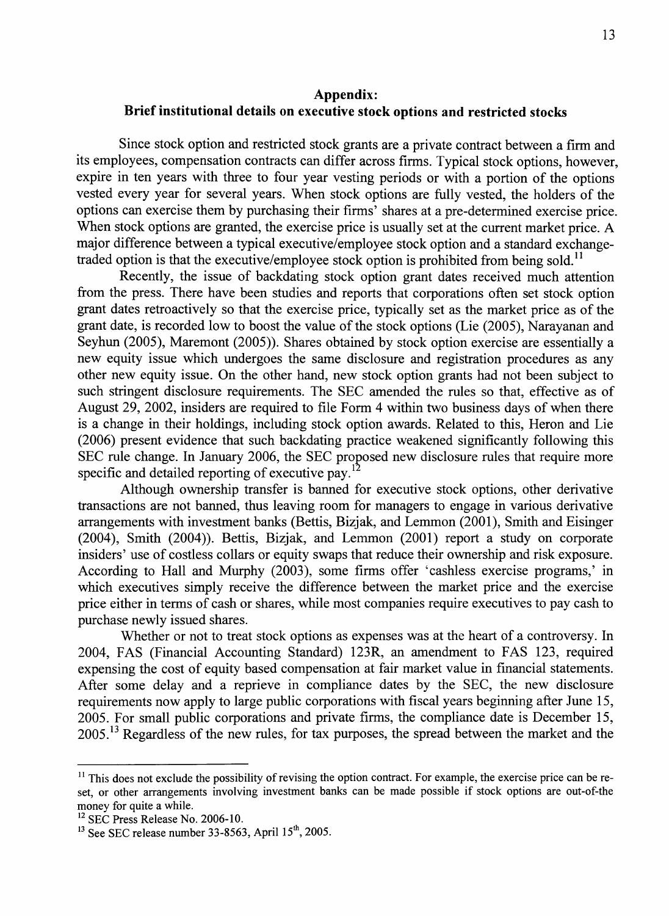#### **Appendix: Brief institutional details on executive stock options and restricted stocks**

Since stock option and restricted stock grants are a private contract between a firm and its employees, compensation contracts can differ across firms. Typical stock options, however, expire in ten years with three to four year vesting periods or with a portion of the options vested every year for several years. When stock options are fully vested, the holders of the options can exercise them by purchasing their firms' shares at a pre-determined exercise price. When stock options are granted, the exercise price is usually set at the current market price. A major difference between a typical executive/employee stock option and a standard exchangetraded option is that the executive/employee stock option is prohibited from being sold.<sup>11</sup>

Recently, the issue of backdating stock option grant dates received much attention from the press. There have been studies and reports that corporations often set stock option grant dates retroactively so that the exercise price, typically set as the market price as of the grant date, is recorded low to boost the value of the stock options (Lie (2005), Narayanan and Seyhun (2005), Maremont (2005)). Shares obtained by stock option exercise are essentially a new equity issue which undergoes the same disclosure and registration procedures as any other new equity issue. On the other hand, new stock option grants had not been subject to such stringent disclosure requirements. The SEC amended the rules so that, effective as of August 29, 2002, insiders are required to file Form 4 within two business days of when there is a change in their holdings, including stock option awards. Related to this. Heron and Lie (2006) present evidence that such backdating practice weakened significantly following this SEC rule change. In January 2006, the SEC proposed new disclosure rules that require more specific and detailed reporting of executive pay. $^{12}$ 

Although ownership transfer is banned for executive stock options, other derivative transactions are not banned, thus leaving room for managers to engage in various derivative arrangements with investment banks (Bettis, Bizjak, and Lemmon (2001), Smith and Eisinger (2004), Smith (2004)). Bettis, Bizjak, and Lemmon (2001) report a study on corporate insiders' use of costless collars or equity swaps that reduce their ownership and risk exposure. According to Hall and Murphy (2003), some firms offer 'cashless exercise programs,' in which executives simply receive the difference between the market price and the exercise price either in terms of cash or shares, while most companies require executives to pay cash to purchase newly issued shares.

Whether or not to treat stock options as expenses was at the heart of a controversy. In 2004, FAS (Financial Accounting Standard) 123R, an amendment to FAS 123, required expensing the cost of equity based compensation at fair market value in financial statements. After some delay and a reprieve in compliance dates by the SEC, the new disclosure requirements now apply to large public corporations with fiscal years beginning after June 15, 2005. For small public corporations and private firms, the compliance date is December 15, 2005.<sup>13</sup> Regardless of the new rules, for tax purposes, the spread between the market and the

<sup>&</sup>lt;sup>11</sup> This does not exclude the possibility of revising the option contract. For example, the exercise price can be re**set, or other arrangements involving investment banks can be made possible if stock options are out-of-the money for quite a while.**

<sup>&</sup>lt;sup>12</sup> SEC Press Release No. 2006-10.

**See SEC release number 33-8563, April 15\*, 2005.**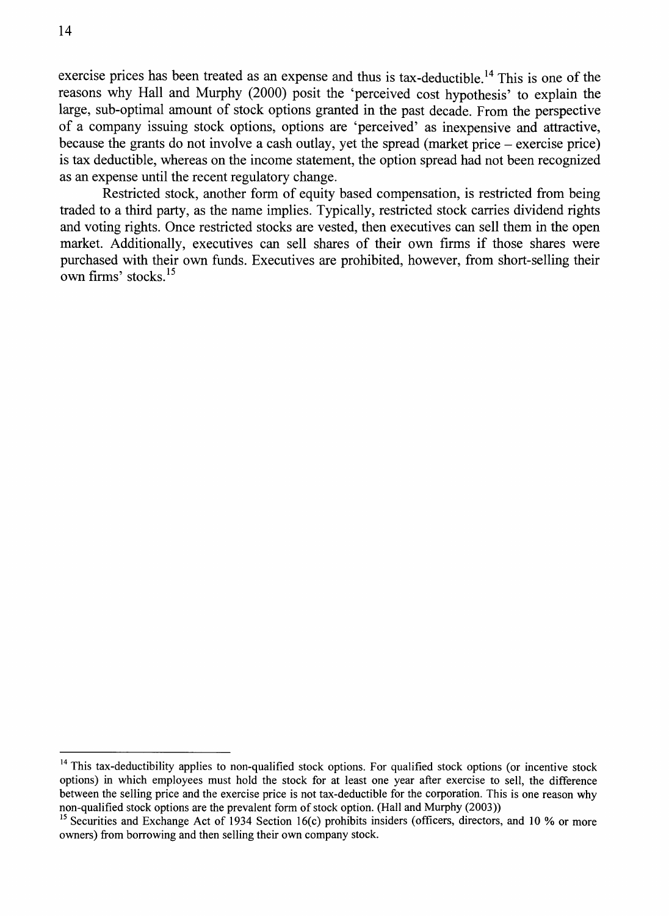exercise prices has been treated as an expense and thus is tax-deductible.<sup>14</sup> This is one of the reasons why Hall and Murphy (2000) posit the 'perceived cost hypothesis' to explain the large, sub-optimal amount of stock options granted in the past decade. From the perspective of a company issuing stock options, options are 'perceived' as inexpensive and attractive, because the grants do not involve a cash outlay, yet the spread (market price - exercise price) is tax deductible, whereas on the income statement, the option spread had not been recognized as an expense until the recent regulatory change.

Restricted stock, another form of equity based compensation, is restricted from being traded to a third party, as the name implies. Typically, restricted stock carries dividend rights and voting rights. Once restricted stocks are vested, then executives can sell them in the open market. Additionally, executives can sell shares of their own firms if those shares were purchased with their own funds. Executives are prohibited, however, from short-selling their own firms' stocks.

<sup>&</sup>lt;sup>14</sup> This tax-deductibility applies to non-qualified stock options. For qualified stock options (or incentive stock **options) in which employees must hold the stock for at least one year after exercise to sell, the difference between the selling price and the exercise price is not tax-deductible for the corporation. This is one reason why** non-qualified stock options are the prevalent form of stock option. (Hall and Murphy (2003))

<sup>&</sup>lt;sup>15</sup> Securities and Exchange Act of 1934 Section 16(c) prohibits insiders (officers, directors, and 10 % or more **owners) from borrowing and then selling their own company stock.**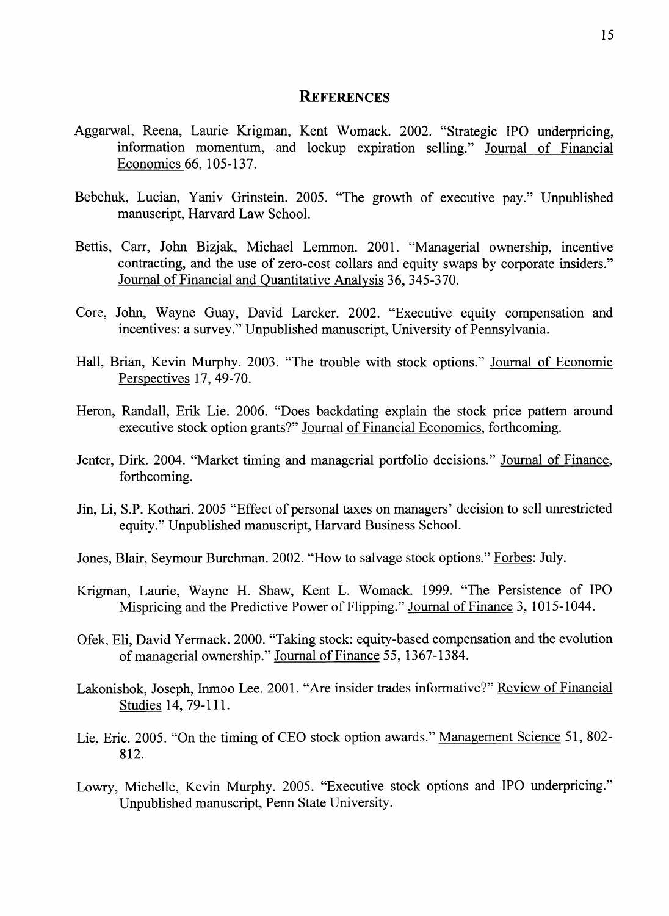#### **REFERENCES**

- Aggarwal, Reena, Laurie Krigman, Kent Womack. 2002. "Strategic IPO underpricing, information momentum, and lockup expiration selling." Journal of Financial Economics 66, 105-137.
- Bebchuk, Lucian, Yaniv Grinstein. 2005. "The growth of executive pay." Unpublished manuscript. Harvard Law School.
- Bettis, Carr, John Bizjak, Michael Lemmon. 2001. "Managerial ownership, incentive contracting, and the use of zero-cost collars and equity swaps by corporate insiders." Journal of Financial and Quantitative Analysis 36, 345-370.
- Core, John, Wayne Guay, David Larcker. 2002. "Executive equity compensation and incentives: a survey." Unpublished manuscript. University of Pennsylvania.
- Hall, Brian, Kevin Murphy. 2003. "The trouble with stock options." Journal of Economic Perspectives 17, 49-70.
- Heron, Randall, Erik Lie. 2006. "Does backdating explain the stock price pattern around executive stock option grants?" Journal of Financial Economics, forthcoming.
- Jenter, Dirk. 2004. "Market timing and managerial portfolio decisions." Journal of Finance, forthcoming.
- Jin, Li, S.P. Kothari. 2005 "Effect of personal taxes on managers' decision to sell unrestricted equity." Unpublished manuscript. Harvard Business School.
- Jones, Blair, Seymour Burchman. 2002. "How to salvage stock options." Forbes: July.
- Krigman, Laurie, Wayne H. Shaw, Kent L. Womack. 1999. "The Persistence of IPO Mispricing and the Predictive Power of Flipping." Journal of Finance 3, 1015-1044.
- Ofek, Eli, David Yermack. 2000. "Taking stock: equity-based compensation and the evolution of managerial ownership." Journal of Finance 55, 1367-1384.
- Lakonishok, Joseph, Inmoo Lee. 2001. "Are insider trades informative?" Review of Financial Studies 14, 79-111.
- Lie, Eric. 2005. "On the timing of CEO stock option awards." Management Science 51, 802- 812.
- Lowry, Michelle, Kevin Murphy. 2005. "Executive stock options and IPO underpricing." Unpublished manuscript, Penn State University.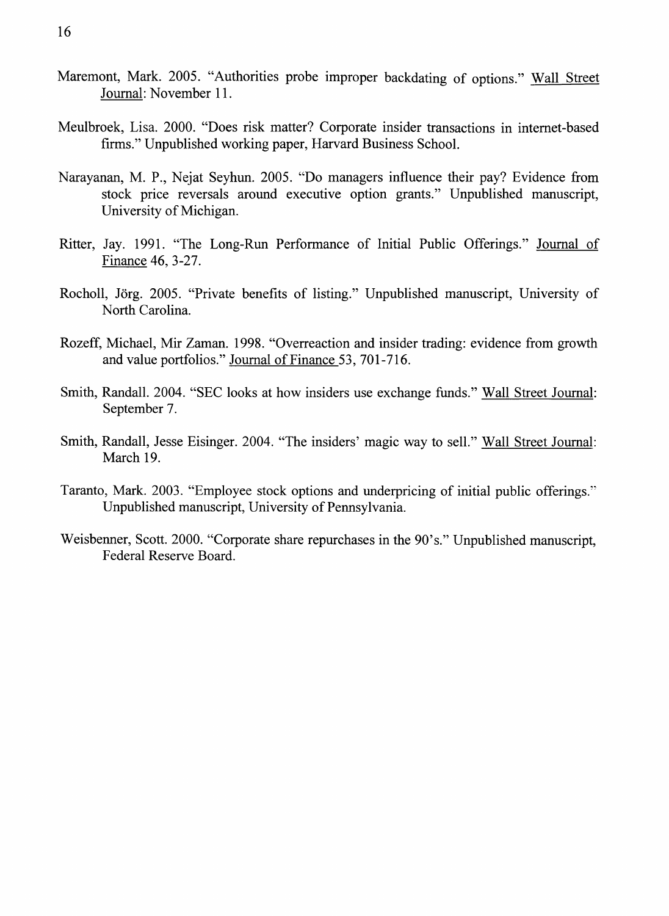- Maremont, Mark. 2005. "Authorities probe improper backdating of options." Wall Street Journal: November 11.
- Meulbroek, Lisa. 2000. "Does risk matter? Corporate insider transactions in internet-based firms." Unpublished working paper, Harvard Business School.
- Narayanan, M. P., Nejat Seyhun. 2005. "Do managers influence their pay? Evidence from stock price reversals around executive option grants." Unpublished manuscript, University of Michigan.
- Ritter, Jay. 1991. "The Long-Run Performance of Initial Public Offerings." Journal of Finance 46, 3-27.
- Rocholl, Jörg. 2005. "Private benefits of listing." Unpublished manuscript, University of North Carolina.
- Rozeff, Michael, Mir Zaman. 1998. "Overreaction and insider trading: evidence from growth and value portfolios." Journal of Finance 53, 701-716.
- Smith, Randall. 2004. "SEC looks at how insiders use exchange funds." Wall Street Journal: September 7.
- Smith, Randall, Jesse Eisinger. 2004. "The insiders' magic way to sell." Wall Street Journal: March 19.
- Taranto, Mark. 2003. "Employee stock options and underpricing of initial public offerings." Unpublished manuscript. University of Pennsylvania.
- Weisbenner, Scott. 2000. "Corporate share repurchases in the 90's." Unpublished manuscript. Federal Reserve Board.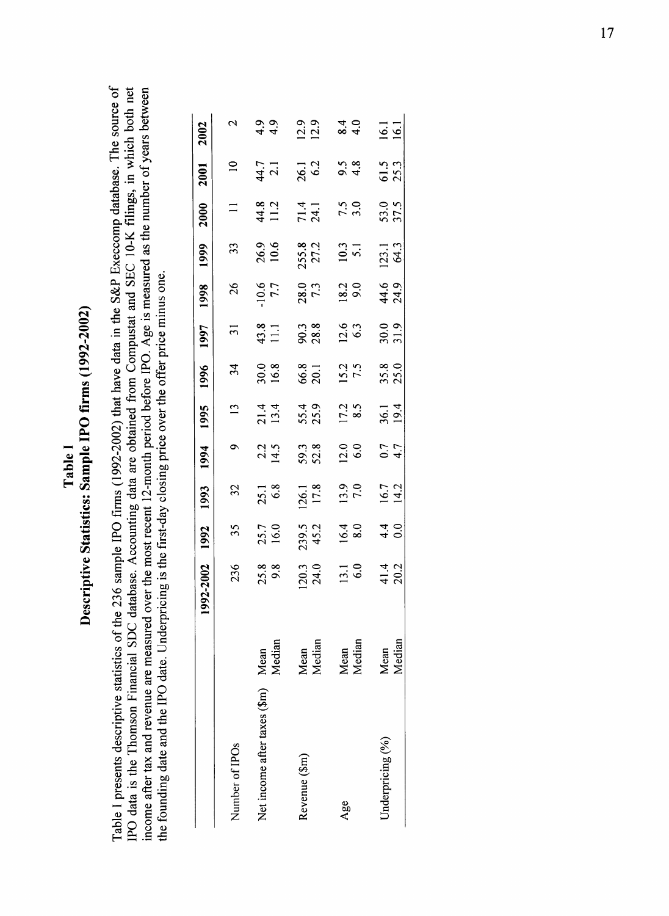# o**o**  $\tilde{\Omega}$ *o \* ON**s***u*c**o**  $\blacksquare$  $\frac{1}{2}$   $\frac{1}{2}$ Tal<br>cs: San  $\overline{\mathbf{a}}$  $\boldsymbol{\varphi}$ Od >► <u>ຸ</u><br>ຂ

 $\epsilon$ 

o  $\ddot{\mathbf{e}}$ sourc The tabase.  $\frac{di}{dt}$ omp database. Ine soul<br>K filings, in which bot <u>ة</u>  $\overline{5}$ × Š  $\mathop{\rm sc}\limits_0$   $\mathop{\rm c}\limits_0$ n<br>ይዘ<br>ይዘ rs bet f ye $\varepsilon$ c o gs,<br>កាច់ e nur  $\approx$  $\overline{\mathbf{c}}$ ■5 <u>ี่ค</u> dat  $\tilde{\mathbf{Q}}$ **§** l (2002-2002)  $\ddot{a}$ **T3**(L>>-i3  $meas$ smpusta (U '-< **GJD 0>** e<br>E OOh  $\frac{1}{2}$ obtai  $\arctan$ , *cs*  $\overline{\texttt{da}}$ aun<br>⊡ <uUi  $\mathbf{B}$ **হ** peri a- «O the d)>o price (30 \_c 12-m<br>closi  $\overline{\mathbf{e}}$ .ccount  $_{\rm B}^{\rm L}$   $<$ tabase. न्वँ sar 236  $\overline{a}$ *-i->* $\overline{c}$ c«o  $\rm{d}$ at  $_{\rm SO}$ al SDC database. Accounting<br>neasured over the most recent <uo most re  $e$ r the  $\check{\mathsf{z}}$ .<br>ج 2a^3 on  $\tilde{\mathbf{c}}$  $\mathbf{d}$  $\overline{\text{g}}$ yrici Inderp .2'q £ sta c nanc<br>are **IVe si**<br>n Fin<br>nue : خ<br>بالع scriptiv<br>pmson<br>d reven 0> >  $\frac{5}{2}$  $\frac{\text{sg}}{\text{H}}$  and ಕೆ ਸ ਥ  $\frac{m}{\sqrt{2}}$  $\mathbf{g}$ rese c« U i (U ದ್ದ ಡ <u>ដ</u> ១ ್ರ ಕ *B* ooc <u>م</u> م IPO date.  $\overline{Q}$ te and  $\Xi$  $g$ unding  $\mathbf{S}$  $\overline{a}$ 

|                              |                | 2-2002<br>$\overline{99}$ | 1992                                          | 1993               | 1994              | 1995               | 1996               | 1997               | 1998               | 1999            | 2000         | 2001                    | 2002                 |
|------------------------------|----------------|---------------------------|-----------------------------------------------|--------------------|-------------------|--------------------|--------------------|--------------------|--------------------|-----------------|--------------|-------------------------|----------------------|
| Number of IPOs               |                | 236                       | 35                                            | 32                 | $\circ$           | 13                 | 34                 | $\overline{31}$    | 26                 | 33              | $\equiv$     | $\overline{a}$          | $\sim$               |
| Net income after taxes (\$m) | Mean<br>Median | $25.8$<br>9.8             | 25.7<br>16.0                                  | $25.1$<br>$6.8$    | $2.2$<br>14.5     | $21.4$<br>13.4     | 30.0<br>16.8       | 43.8<br>11.1       | 7.7                | 26.9<br>10.6    | 44.8<br>11.2 | 44.7<br>2.1             | $\frac{4}{9}$<br>4.9 |
| Revenue (\$m)                | Mean<br>Median | $\frac{120.3}{24.0}$      | 239.5<br>45.2                                 | 126.1<br>17.8      | 59.3<br>52.8      | 55.4<br>25.9       | 66.8<br>20.1       | 90.3<br>28.8       | 28.0<br>7.3        | 255.8           | 71.4<br>24.1 | 26.1<br>6.2             | $\frac{12.9}{12.9}$  |
| Age                          | Mean<br>Median | $\frac{13.1}{6.0}$        | $16.4$<br>8.0                                 | $\frac{13.9}{7.0}$ | $\frac{0.0}{0.0}$ | $\frac{17.2}{8.5}$ | $\frac{15.2}{7.5}$ | $\frac{12.6}{6.3}$ | $\frac{18.2}{9.0}$ | $10.3$<br>5.1   | $7.5$<br>3.0 | $9.\overline{3}$<br>4.8 | $\frac{4}{4}$ 0      |
| Underpricing $(%)$           | Mean<br>Median | 41.4<br>20.2              | $\begin{array}{c} 4 & 0 \\ 0 & 0 \end{array}$ | $16.7$<br>14.2     | $\frac{4.7}{4.7}$ | $36.1$<br>19.4     | $35.8$<br>25.0     | $30.0$<br>$31.9$   | 44.6<br>24.9       | $123.1$<br>64.3 | 53.0<br>37.5 | 61.5<br>25.3            | $16.1$<br>$16.1$     |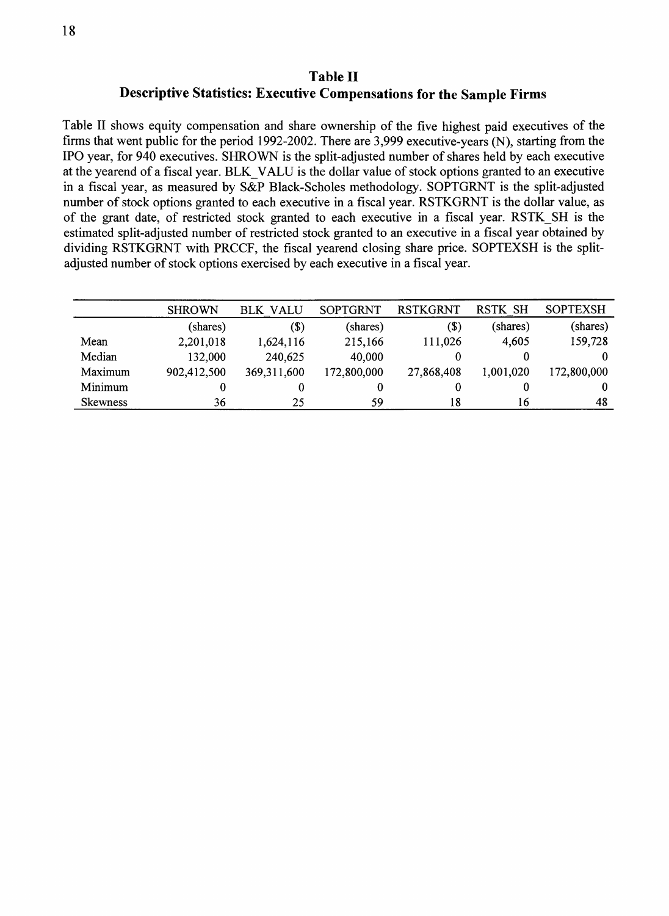#### **Table II Descriptive Statistics: Executive Compensations for the Sample Firms**

Table II shows equity compensation and share ownership of the five highest paid executives of the firms that went public for the period 1992-2002. There are 3,999 executive-years (N), starting from the IPO year, for 940 executives. SHROWN is the split-adjusted number of shares held by each executive at the yearend of a fiscal year. BLK VALU is the dollar value of stock options granted to an executive in a fiscal year, as measured by S&P Black-Scholes methodology. SOPTGRNT is the split-adjusted number of stock options granted to each executive in a fiscal year. RSTKGRNT is the dollar value, as of the grant date, of restricted stock granted to each executive in a fiscal year. RSTK SH is the estimated split-adjusted number of restricted stock granted to an executive in a fiscal year obtained by dividing RSTKGRNT with PRCCF, the fiscal yearend closing share price. SOPTEXSH is the splitadjusted number of stock options exercised by each executive in a fiscal year.

|                 | <b>SHROWN</b> | <b>BLK VALU</b> | <b>SOPTGRNT</b> | <b>RSTKGRNT</b>            | <b>RSTK SH</b> | <b>SOPTEXSH</b> |
|-----------------|---------------|-----------------|-----------------|----------------------------|----------------|-----------------|
|                 | (shares)      | (\$)            | (shares)        | $\left( \mathbb{S}\right)$ | (shares)       | (shares)        |
| Mean            | 2,201,018     | 1,624,116       | 215,166         | 111,026                    | 4,605          | 159,728         |
| Median          | 132,000       | 240,625         | 40,000          |                            |                | $\Omega$        |
| Maximum         | 902,412,500   | 369,311,600     | 172,800,000     | 27,868,408                 | 1,001,020      | 172,800,000     |
| Minimum         |               |                 | 0               |                            |                | $\theta$        |
| <b>Skewness</b> | 36            | 25              | 59              | 18                         | 16             | 48              |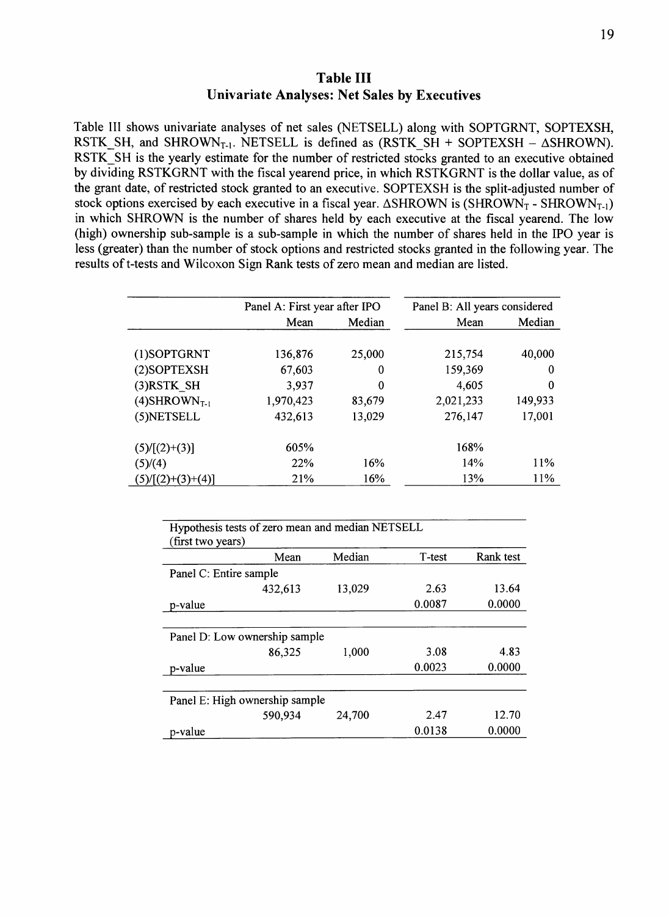**Table III Univariate Analyses: Net Sales by Executives**

Table III shows univariate analyses of net sales (NETSELL) along with SOPTGRNT, SOPTEXSH, RSTK SH, and SHROWN<sub>T-1</sub>. NETSELL is defined as (RSTK SH + SOPTEXSH -  $\triangle$ SHROWN). RSTK SH is the yearly estimate for the number of restricted stocks granted to an executive obtained by dividing RSTKGRNT with the fiscal yearend price, in which RSTKGRNT is the dollar value, as of the grant date, of restricted stock granted to an executive. SOPTEXSH is the split-adjusted number of stock options exercised by each executive in a fiscal year.  $\triangle SHROWN$  is (SHROWN<sub>T</sub> - SHROWN<sub>T-1</sub>) in which SHROWN is the number of shares held by each executive at the fiscal yearend. The low (high) ownership sub-sample is a sub-sample in which the number of shares held in the IPO year is less (greater) than the number of stock options and restricted stocks granted in the following year. The results of t-tests and Wilcoxon Sign Rank tests of zero mean and median are listed.

|                             | Panel A: First year after IPO |        | Panel B: All years considered |         |
|-----------------------------|-------------------------------|--------|-------------------------------|---------|
|                             | Mean                          | Median | Mean                          | Median  |
|                             |                               |        |                               |         |
| (1)SOPTGRNT                 | 136,876                       | 25,000 | 215,754                       | 40,000  |
| (2) SOPTEXSH                | 67,603                        | 0      | 159,369                       | 0       |
| (3)RSTK SH                  | 3,937                         | 0      | 4,605                         | 0       |
| $(4)$ SHROWN <sub>T-1</sub> | 1,970,423                     | 83,679 | 2,021,233                     | 149,933 |
| (5) NETSELL                 | 432,613                       | 13,029 | 276,147                       | 17,001  |
| $(5)/[(2)+(3)]$             | 605%                          |        | 168%                          |         |
| (5)/(4)                     | <b>22%</b>                    | 16%    | 14%                           | 11\%    |
| $(5)/[(2)+(3)+(4)]$         | 21%                           | 16%    | 13%                           | 11%     |

| Hypothesis tests of zero mean and median NETSELL<br>(first two years) |        |        |           |
|-----------------------------------------------------------------------|--------|--------|-----------|
| Mean                                                                  | Median | T-test | Rank test |
| Panel C: Entire sample                                                |        |        |           |
| 432,613                                                               | 13,029 | 2.63   | 13.64     |
| p-value                                                               |        | 0.0087 | 0.0000    |
|                                                                       |        |        |           |
| Panel D: Low ownership sample                                         |        |        |           |
| 86,325                                                                | 1,000  | 3.08   | 4.83      |
| p-value                                                               |        | 0.0023 | 0.0000    |
|                                                                       |        |        |           |
| Panel E: High ownership sample                                        |        |        |           |
| 590,934                                                               | 24,700 | 2.47   | 12.70     |
| p-value                                                               |        | 0.0138 | 0.0000    |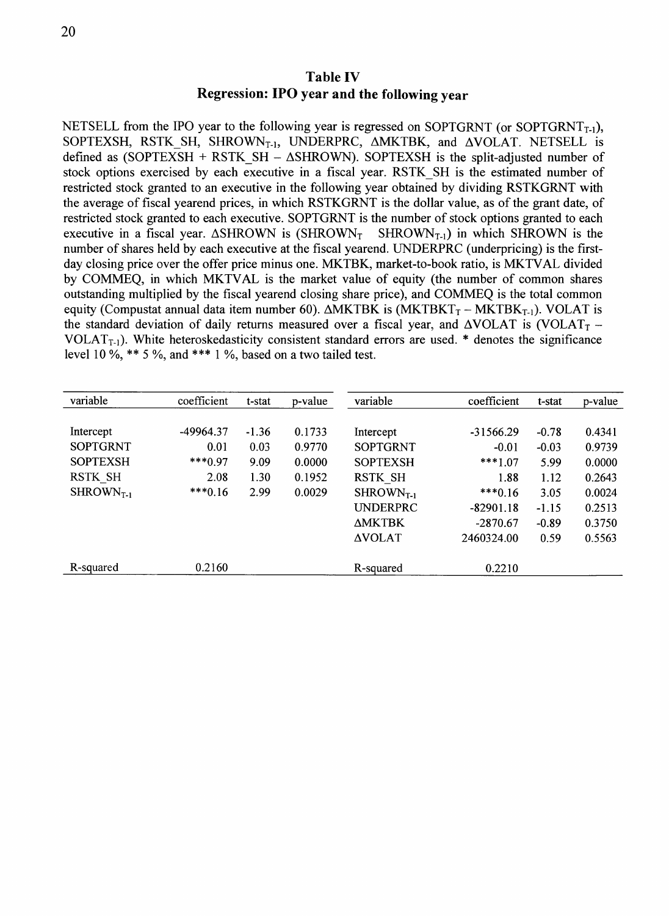NETSELL from the IPO year to the following year is regressed on SOPTGRNT (or SOPTGRNT<sub>T-1</sub>), SOPTEXSH, RSTK SH, SHROWN<sub>T-1</sub>, UNDERPRC, AMKTBK, and AVOLAT. NETSELL is defined as (SOPTEXSH + RSTK SH -  $\triangle$ SHROWN). SOPTEXSH is the split-adjusted number of stock options exercised by each executive in a fiscal year. RSTK SH is the estimated number of restricted stock granted to an executive in the following year obtained by dividing RSTKGRNT with the average of fiscal yearend prices, in which RSTKGRNT is the dollar value, as of the grant date, of restricted stock granted to each executive. SOPTGRNT is the number of stock options granted to each executive in a fiscal year.  $\triangle$ SHROWN is (SHROWN<sub>T</sub> SHROWN<sub>T-1</sub>) in which SHROWN is the number of shares held by each executive at the fiscal yearend. UNDERPRC (underpricing) is the firstday closing price over the offer price minus one. MKTBK, market-to-book ratio, is MKTVAL divided by COMMEQ, in which MKTVAL is the market value of equity (the number of common shares outstanding multiplied by the fiscal yearend closing share price), and COMMEQ is the total common equity (Compustat annual data item number 60).  $\triangle$ MKTBK is (MKTBKT<sub>T</sub> - MKTBK<sub>T-1</sub>). VOLAT is the standard deviation of daily returns measured over a fiscal year, and  $\triangle VOLAT$  is (VOLAT<sub>T</sub> -VOLAT<sub>T-1</sub>). White heteroskedasticity consistent standard errors are used.  $*$  denotes the significance level 10 %, \*\* 5 %, and \*\*\* 1 %, based on a two tailed test.

| variable        | coefficient | t-stat  | p-value | variable              | coefficient | t-stat  | p-value |
|-----------------|-------------|---------|---------|-----------------------|-------------|---------|---------|
|                 |             |         |         |                       |             |         |         |
| Intercept       | -49964.37   | $-1.36$ | 0.1733  | Intercept             | $-31566.29$ | $-0.78$ | 0.4341  |
| <b>SOPTGRNT</b> | 0.01        | 0.03    | 0.9770  | <b>SOPTGRNT</b>       | $-0.01$     | $-0.03$ | 0.9739  |
| <b>SOPTEXSH</b> | $***0.97$   | 9.09    | 0.0000  | <b>SOPTEXSH</b>       | $***1.07$   | 5.99    | 0.0000  |
| <b>RSTK SH</b>  | 2.08        | 1.30    | 0.1952  | RSTK SH               | 1.88        | 1.12    | 0.2643  |
| $SHROWNT-1$     | $***0.16$   | 2.99    | 0.0029  | SHROWN <sub>T-1</sub> | $***0.16$   | 3.05    | 0.0024  |
|                 |             |         |         | <b>UNDERPRC</b>       | $-82901.18$ | $-1.15$ | 0.2513  |
|                 |             |         |         | <b>AMKTBK</b>         | $-2870.67$  | $-0.89$ | 0.3750  |
|                 |             |         |         | <b>AVOLAT</b>         | 2460324.00  | 0.59    | 0.5563  |
| R-squared       | 0.2160      |         |         | R-squared             | 0.2210      |         |         |